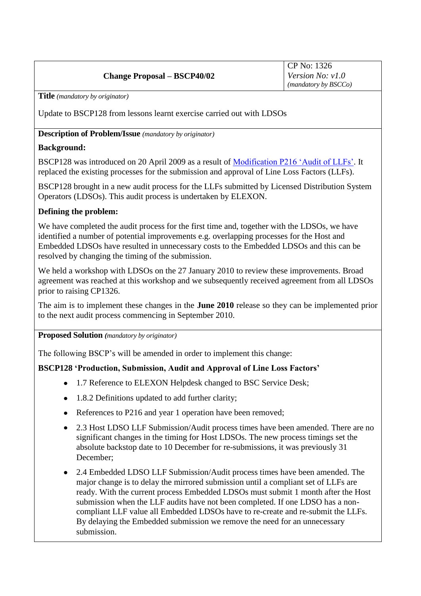# **Change Proposal – BSCP40/02**

CP No: 1326 *Version No: v1.0 (mandatory by BSCCo)*

**Title** *(mandatory by originator)*

Update to BSCP128 from lessons learnt exercise carried out with LDSOs

### **Description of Problem/Issue** *(mandatory by originator)*

### **Background:**

BSCP128 was introduced on 20 April 2009 as a result of [Modification P216 'Audit of LLFs'.](http://www.elexon.co.uk/changeimplementation/modificationprocess/modificationdocumentation/modProposalView.aspx?propID=236) It replaced the existing processes for the submission and approval of Line Loss Factors (LLFs).

BSCP128 brought in a new audit process for the LLFs submitted by Licensed Distribution System Operators (LDSOs). This audit process is undertaken by ELEXON.

### **Defining the problem:**

We have completed the audit process for the first time and, together with the LDSOs, we have identified a number of potential improvements e.g. overlapping processes for the Host and Embedded LDSOs have resulted in unnecessary costs to the Embedded LDSOs and this can be resolved by changing the timing of the submission.

We held a workshop with LDSOs on the 27 January 2010 to review these improvements. Broad agreement was reached at this workshop and we subsequently received agreement from all LDSOs prior to raising CP1326.

The aim is to implement these changes in the **June 2010** release so they can be implemented prior to the next audit process commencing in September 2010.

**Proposed Solution** *(mandatory by originator)*

The following BSCP's will be amended in order to implement this change:

### **BSCP128 'Production, Submission, Audit and Approval of Line Loss Factors'**

- 1.7 Reference to ELEXON Helpdesk changed to BSC Service Desk;
- 1.8.2 Definitions updated to add further clarity;
- References to P216 and year 1 operation have been removed;
- $\bullet$ 2.3 Host LDSO LLF Submission/Audit process times have been amended. There are no significant changes in the timing for Host LDSOs. The new process timings set the absolute backstop date to 10 December for re-submissions, it was previously 31 December;
- 2.4 Embedded LDSO LLF Submission/Audit process times have been amended. The major change is to delay the mirrored submission until a compliant set of LLFs are ready. With the current process Embedded LDSOs must submit 1 month after the Host submission when the LLF audits have not been completed. If one LDSO has a noncompliant LLF value all Embedded LDSOs have to re-create and re-submit the LLFs. By delaying the Embedded submission we remove the need for an unnecessary submission.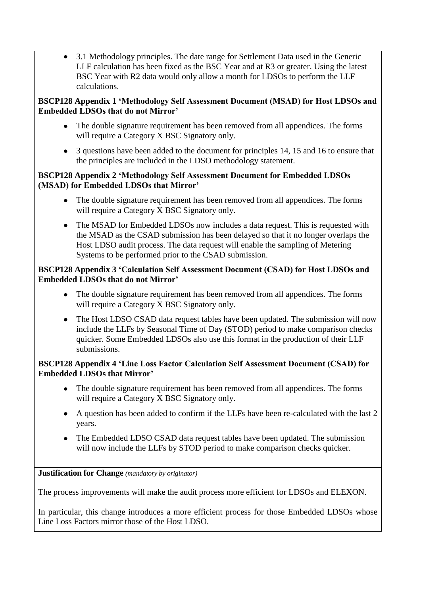• 3.1 Methodology principles. The date range for Settlement Data used in the Generic LLF calculation has been fixed as the BSC Year and at R3 or greater. Using the latest BSC Year with R2 data would only allow a month for LDSOs to perform the LLF calculations.

## **BSCP128 Appendix 1 'Methodology Self Assessment Document (MSAD) for Host LDSOs and Embedded LDSOs that do not Mirror'**

- The double signature requirement has been removed from all appendices. The forms will require a Category X BSC Signatory only.
- 3 questions have been added to the document for principles 14, 15 and 16 to ensure that the principles are included in the LDSO methodology statement.

## **BSCP128 Appendix 2 'Methodology Self Assessment Document for Embedded LDSOs (MSAD) for Embedded LDSOs that Mirror'**

- The double signature requirement has been removed from all appendices. The forms will require a Category X BSC Signatory only.
- The MSAD for Embedded LDSOs now includes a data request. This is requested with the MSAD as the CSAD submission has been delayed so that it no longer overlaps the Host LDSO audit process. The data request will enable the sampling of Metering Systems to be performed prior to the CSAD submission.

## **BSCP128 Appendix 3 'Calculation Self Assessment Document (CSAD) for Host LDSOs and Embedded LDSOs that do not Mirror'**

- The double signature requirement has been removed from all appendices. The forms will require a Category X BSC Signatory only.
- The Host LDSO CSAD data request tables have been updated. The submission will now include the LLFs by Seasonal Time of Day (STOD) period to make comparison checks quicker. Some Embedded LDSOs also use this format in the production of their LLF submissions.

## **BSCP128 Appendix 4 'Line Loss Factor Calculation Self Assessment Document (CSAD) for Embedded LDSOs that Mirror'**

- The double signature requirement has been removed from all appendices. The forms will require a Category X BSC Signatory only.
- A question has been added to confirm if the LLFs have been re-calculated with the last 2 years.
- The Embedded LDSO CSAD data request tables have been updated. The submission  $\bullet$ will now include the LLFs by STOD period to make comparison checks quicker.

### **Justification for Change** *(mandatory by originator)*

The process improvements will make the audit process more efficient for LDSOs and ELEXON.

In particular, this change introduces a more efficient process for those Embedded LDSOs whose Line Loss Factors mirror those of the Host LDSO.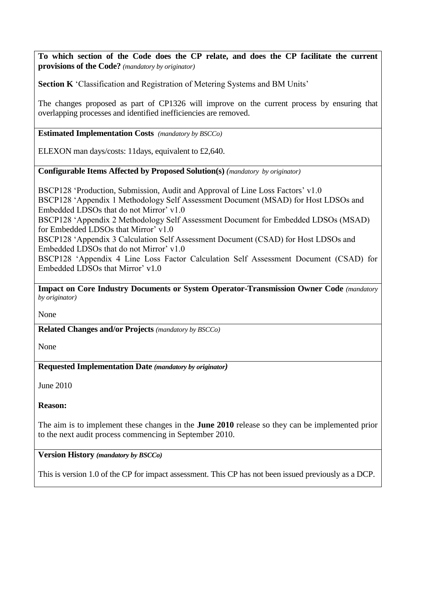**To which section of the Code does the CP relate, and does the CP facilitate the current provisions of the Code?** *(mandatory by originator)*

**Section K** 'Classification and Registration of Metering Systems and BM Units'

The changes proposed as part of CP1326 will improve on the current process by ensuring that overlapping processes and identified inefficiencies are removed.

### **Estimated Implementation Costs** *(mandatory by BSCCo)*

ELEXON man days/costs: 11days, equivalent to £2,640.

### **Configurable Items Affected by Proposed Solution(s)** *(mandatory by originator)*

BSCP128 'Production, Submission, Audit and Approval of Line Loss Factors' v1.0 BSCP128 'Appendix 1 Methodology Self Assessment Document (MSAD) for Host LDSOs and Embedded LDSOs that do not Mirror' v1.0

BSCP128 'Appendix 2 Methodology Self Assessment Document for Embedded LDSOs (MSAD) for Embedded LDSOs that Mirror' v1.0

BSCP128 'Appendix 3 Calculation Self Assessment Document (CSAD) for Host LDSOs and Embedded LDSOs that do not Mirror' v1.0

BSCP128 'Appendix 4 Line Loss Factor Calculation Self Assessment Document (CSAD) for Embedded LDSOs that Mirror' v1.0

**Impact on Core Industry Documents or System Operator-Transmission Owner Code** *(mandatory by originator)*

None

**Related Changes and/or Projects** *(mandatory by BSCCo)*

None

### **Requested Implementation Date** *(mandatory by originator)*

June 2010

**Reason:**

The aim is to implement these changes in the **June 2010** release so they can be implemented prior to the next audit process commencing in September 2010.

#### **Version History** *(mandatory by BSCCo)*

This is version 1.0 of the CP for impact assessment. This CP has not been issued previously as a DCP.